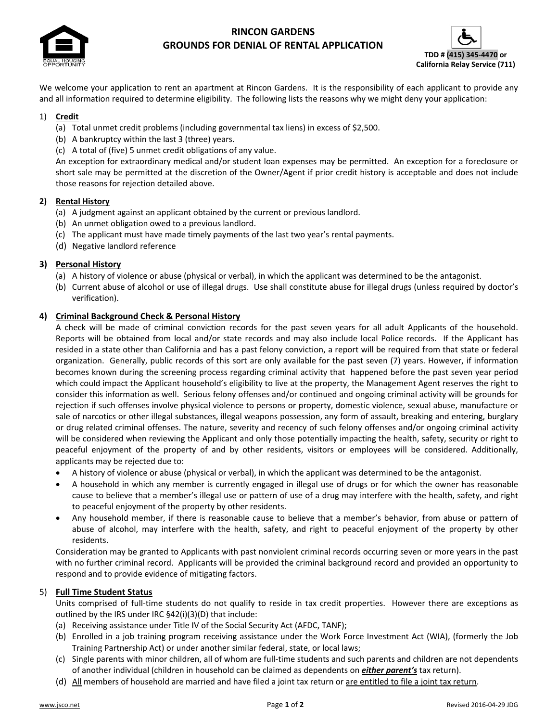

# **RINCON GARDENS GROUNDS FOR DENIAL OF RENTAL APPLICATION**



We welcome your application to rent an apartment at Rincon Gardens. It is the responsibility of each applicant to provide any and all information required to determine eligibility. The following lists the reasons why we might deny your application:

### 1) **Credit**

- (a) Total unmet credit problems (including governmental tax liens) in excess of \$2,500.
- (b) A bankruptcy within the last 3 (three) years.
- (c) A total of (five) 5 unmet credit obligations of any value.

An exception for extraordinary medical and/or student loan expenses may be permitted. An exception for a foreclosure or short sale may be permitted at the discretion of the Owner/Agent if prior credit history is acceptable and does not include those reasons for rejection detailed above.

### **2) Rental History**

- (a) A judgment against an applicant obtained by the current or previous landlord.
- (b) An unmet obligation owed to a previous landlord.
- (c) The applicant must have made timely payments of the last two year's rental payments.
- (d) Negative landlord reference

### **3) Personal History**

- (a) A history of violence or abuse (physical or verbal), in which the applicant was determined to be the antagonist.
- (b) Current abuse of alcohol or use of illegal drugs. Use shall constitute abuse for illegal drugs (unless required by doctor's verification).

### **4) Criminal Background Check & Personal History**

A check will be made of criminal conviction records for the past seven years for all adult Applicants of the household. Reports will be obtained from local and/or state records and may also include local Police records. If the Applicant has resided in a state other than California and has a past felony conviction, a report will be required from that state or federal organization. Generally, public records of this sort are only available for the past seven (7) years. However, if information becomes known during the screening process regarding criminal activity that happened before the past seven year period which could impact the Applicant household's eligibility to live at the property, the Management Agent reserves the right to consider this information as well. Serious felony offenses and/or continued and ongoing criminal activity will be grounds for rejection if such offenses involve physical violence to persons or property, domestic violence, sexual abuse, manufacture or sale of narcotics or other illegal substances, illegal weapons possession, any form of assault, breaking and entering, burglary or drug related criminal offenses. The nature, severity and recency of such felony offenses and/or ongoing criminal activity will be considered when reviewing the Applicant and only those potentially impacting the health, safety, security or right to peaceful enjoyment of the property of and by other residents, visitors or employees will be considered. Additionally, applicants may be rejected due to:

- A history of violence or abuse (physical or verbal), in which the applicant was determined to be the antagonist.
- A household in which any member is currently engaged in illegal use of drugs or for which the owner has reasonable cause to believe that a member's illegal use or pattern of use of a drug may interfere with the health, safety, and right to peaceful enjoyment of the property by other residents.
- Any household member, if there is reasonable cause to believe that a member's behavior, from abuse or pattern of abuse of alcohol, may interfere with the health, safety, and right to peaceful enjoyment of the property by other residents.

Consideration may be granted to Applicants with past nonviolent criminal records occurring seven or more years in the past with no further criminal record. Applicants will be provided the criminal background record and provided an opportunity to respond and to provide evidence of mitigating factors.

## 5) **Full Time Student Status**

Units comprised of full‐time students do not qualify to reside in tax credit properties. However there are exceptions as outlined by the IRS under IRC §42(i)(3)(D) that include:

- (a) Receiving assistance under Title IV of the Social Security Act (AFDC, TANF);
- (b) Enrolled in a job training program receiving assistance under the Work Force Investment Act (WIA), (formerly the Job Training Partnership Act) or under another similar federal, state, or local laws;
- (c) Single parents with minor children, all of whom are full‐time students and such parents and children are not dependents of another individual (children in household can be claimed as dependents on *either parent's* tax return).
- (d) All members of household are married and have filed a joint tax return or are entitled to file a joint tax return.